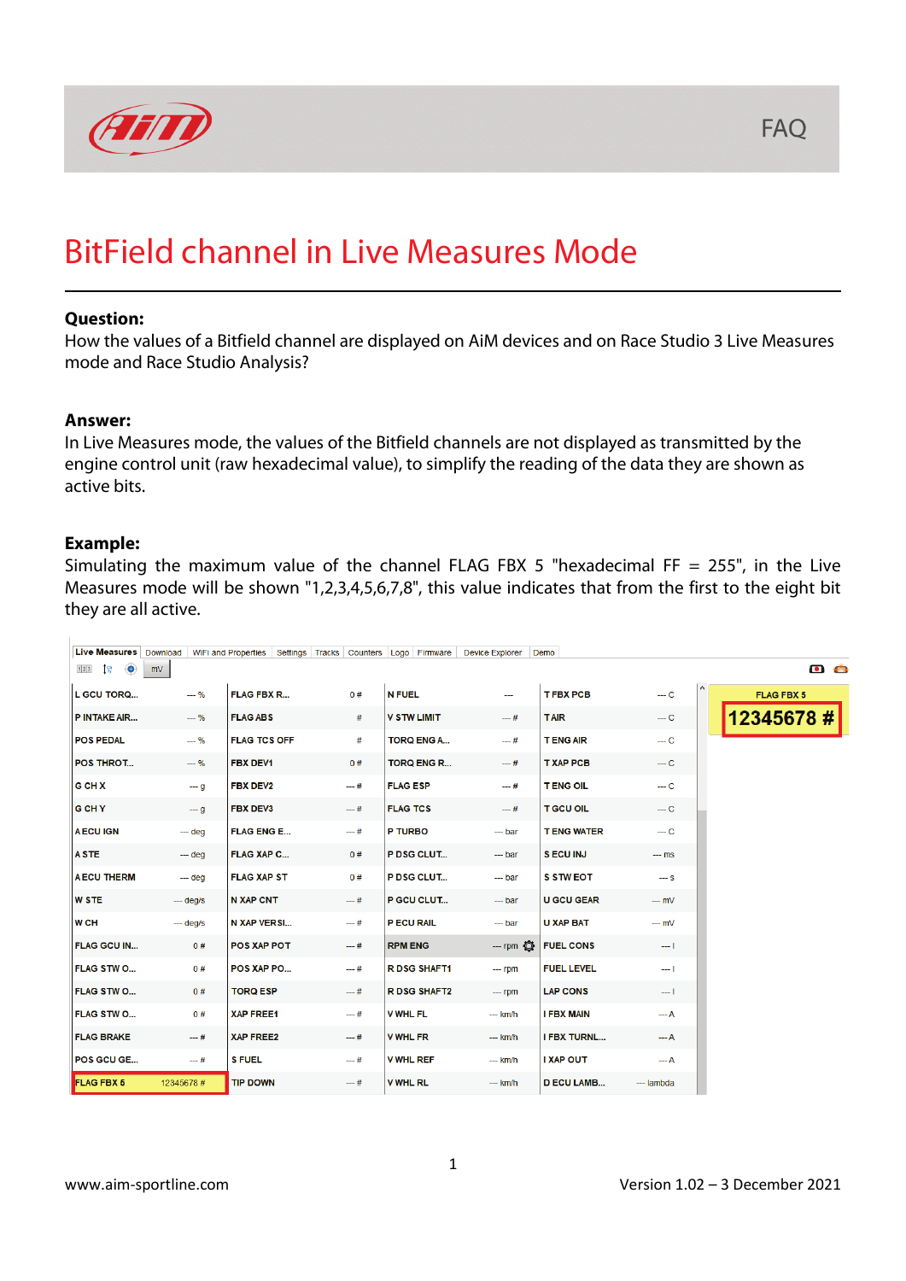

## BitField channel in Live Measures Mode

#### **Question:**

How the values of a Bitfield channel are displayed on AiM devices and on Race Studio 3 Live Measures mode and Race Studio Analysis?

#### **Answer:**

In Live Measures mode, the values of the Bitfield channels are not displayed as transmitted by the engine control unit (raw hexadecimal value), to simplify the reading of the data they are shown as active bits.

#### **Example:**

Simulating the maximum value of the channel FLAG FBX 5 "hexadecimal FF = 255", in the Live Measures mode will be shown "1,2,3,4,5,6,7,8", this value indicates that from the first to the eight bit they are all active.

| Live Measures                |           | Download WiFi and Properties Settings Tracks Counters Logo Firmware |        |                     | <b>Device Explorer</b> | Demo               |            |                     |
|------------------------------|-----------|---------------------------------------------------------------------|--------|---------------------|------------------------|--------------------|------------|---------------------|
| $1\%$<br>1 2 3<br>$\bigcirc$ | mV        |                                                                     |        |                     |                        |                    |            | $\bullet$ $\bullet$ |
| <b>L GCU TORQ</b>            | $-- 96$   | <b>FLAG FBX R</b>                                                   | 0#     | <b>N FUEL</b>       | $\sim$                 | <b>TFBX PCB</b>    | $-$ C      | <b>FLAG FBX 5</b>   |
| <b>P INTAKE AIR</b>          | $- - %$   | <b>FLAG ABS</b>                                                     | #      | <b>V STW LIMIT</b>  | $-$ #                  | <b>TAIR</b>        | $-c$       | 12345678#           |
| <b>POS PEDAL</b>             | $- - %$   | <b>FLAG TCS OFF</b>                                                 | #      | <b>TORQ ENG A</b>   | $- +$ #                | <b>TENG AIR</b>    | $-$ C      |                     |
| POS THROT                    | $- - %$   | <b>FBX DEV1</b>                                                     | 0#     | <b>TORQ ENG R</b>   | $-$ #                  | <b>T XAP PCB</b>   | $-$ C      |                     |
| <b>G CH X</b>                | $-$ q     | <b>FBX DEV2</b>                                                     | $-4$   | <b>FLAG ESP</b>     | $- #$                  | <b>TENG OIL</b>    | $-c$       |                     |
| <b>G CH Y</b>                | $-9$      | <b>FBX DEV3</b>                                                     | $-$ #  | <b>FLAG TCS</b>     | $-$ #                  | <b>T GCU OIL</b>   | $-c$       |                     |
| <b>A ECU IGN</b>             | $-$ deg   | <b>FLAG ENG E</b>                                                   | $-$ #  | P TURBO             | $-$ bar                | <b>TENG WATER</b>  | $-$ C      |                     |
| <b>ASTE</b>                  | $-$ deg   | <b>FLAG XAP C</b>                                                   | 0#     | P DSG CLUT          | $-$ bar                | <b>SECUINJ</b>     | $-$ ms     |                     |
| <b>AECU THERM</b>            | $-$ deg   | <b>FLAG XAP ST</b>                                                  | 0#     | P DSG CLUT          | --- bar                | <b>S STW EOT</b>   | $-$ S      |                     |
| <b>W STE</b>                 | $-$ deg/s | <b>N XAP CNT</b>                                                    | $-$ #  | P GCU CLUT          | $-$ bar                | <b>U GCU GEAR</b>  | $-mV$      |                     |
| <b>WCH</b>                   | $-$ deg/s | <b>N XAP VERSI</b>                                                  | $-$ #  | P ECU RAIL          | $-$ bar                | <b>U XAP BAT</b>   | $-$ mV     |                     |
| <b>FLAG GCU IN</b>           | 0#        | POS XAP POT                                                         | $-$ #  | <b>RPM ENG</b>      | $-$ rpm $\bullet$      | <b>FUEL CONS</b>   | $-1$       |                     |
| FLAG STW O                   | 0#        | POS XAP PO                                                          | $-4$   | <b>R DSG SHAFT1</b> | $-$ rpm                | <b>FUEL LEVEL</b>  | m I        |                     |
| FLAG STW O                   | 0#        | <b>TORQ ESP</b>                                                     | $-  #$ | <b>R DSG SHAFT2</b> | $-$ rpm                | <b>LAP CONS</b>    | $--- 1$    |                     |
| <b>FLAG STW O</b>            | 0#        | <b>XAP FREE1</b>                                                    | $-4$   | <b>V WHL FL</b>     | $--$ km/h              | <b>I FBX MAIN</b>  | $- - A$    |                     |
| <b>FLAG BRAKE</b>            | $-4$      | <b>XAP FREE2</b>                                                    | $-$ #  | <b>V WHL FR</b>     | --- km/h               | <b>I FBX TURNL</b> | $- - A$    |                     |
| POS GCU GE                   | --- #     | <b>S FUEL</b>                                                       | $-4$   | <b>V WHL REF</b>    | --- km/h               | <b>I XAP OUT</b>   | --- A      |                     |
| <b>FLAG FBX 5</b>            | 12345678# | <b>TIP DOWN</b>                                                     | $-$ #  | <b>V WHL RL</b>     | $--$ km/h              | <b>D ECU LAMB</b>  | --- lambda |                     |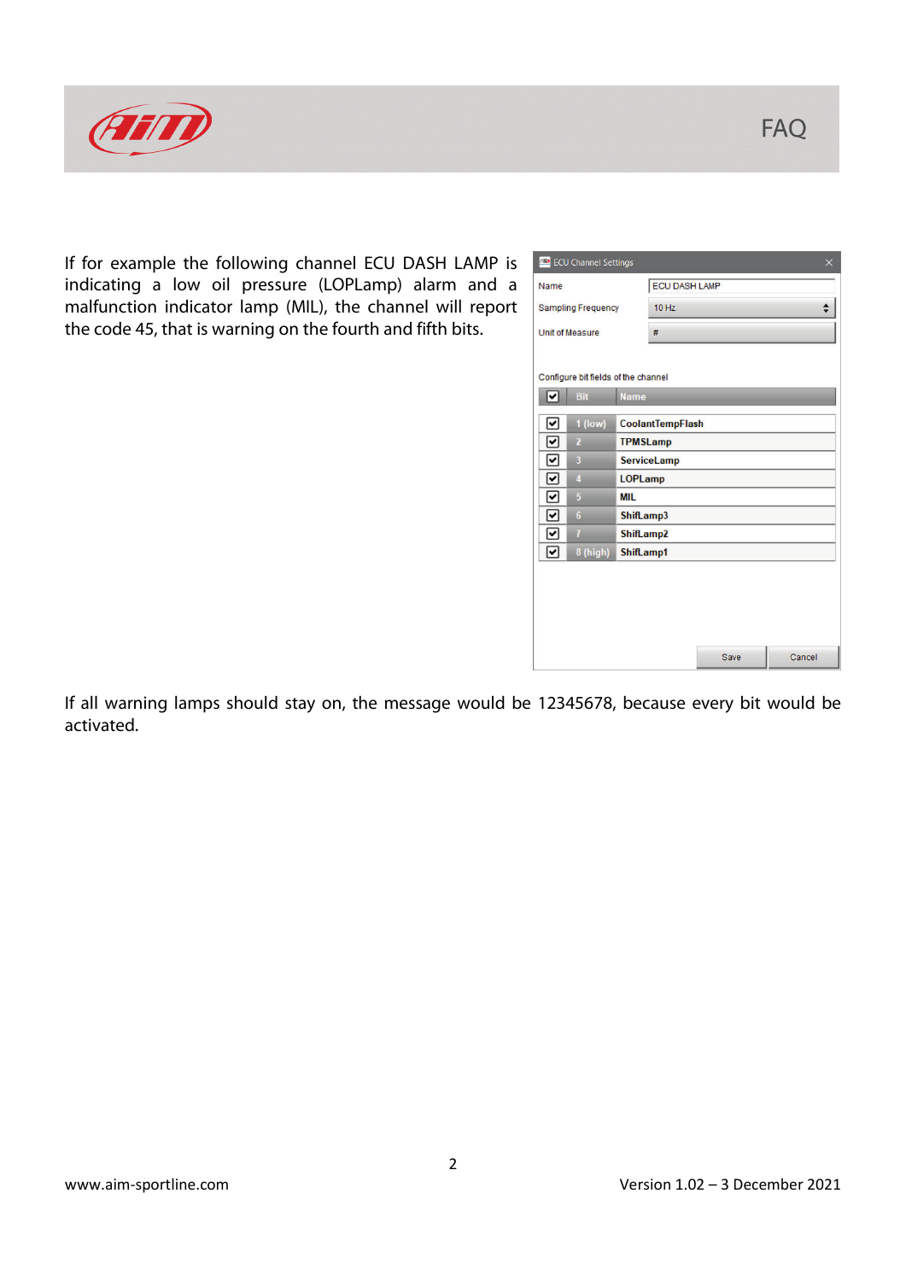

If for example the following channel ECU DASH LAMP is indicating a low oil pressure (LOPLamp) alarm and a malfunction indicator lamp (MIL), the channel will report the code 45, that is warning on the fourth and fifth bits.

|                                        | <b>ES</b> ECU Channel Settings<br>$\times$ |           |                      |      |        |  |  |  |  |  |  |
|----------------------------------------|--------------------------------------------|-----------|----------------------|------|--------|--|--|--|--|--|--|
| Name                                   |                                            |           | <b>ECU DASH LAMP</b> |      |        |  |  |  |  |  |  |
|                                        | <b>Sampling Frequency</b>                  |           | 10 Hz                |      |        |  |  |  |  |  |  |
|                                        | <b>Unit of Measure</b>                     |           |                      |      |        |  |  |  |  |  |  |
|                                        | Configure bit fields of the channel        |           |                      |      |        |  |  |  |  |  |  |
| ⋥                                      | <b>Bit</b><br><b>Name</b>                  |           |                      |      |        |  |  |  |  |  |  |
| ▿                                      | $1$ (low)<br><b>CoolantTempFlash</b>       |           |                      |      |        |  |  |  |  |  |  |
| 罓<br><b>TPMSLamp</b><br>$\overline{2}$ |                                            |           |                      |      |        |  |  |  |  |  |  |
| 罓                                      | $\overline{\mathbf{3}}$                    |           | <b>ServiceLamp</b>   |      |        |  |  |  |  |  |  |
| ∣✔                                     | $\overline{\mathbf{4}}$                    |           | <b>LOPLamp</b>       |      |        |  |  |  |  |  |  |
| ☑                                      | 5                                          | MIL       |                      |      |        |  |  |  |  |  |  |
| 罓                                      | $6\phantom{1}$                             |           | ShifLamp3            |      |        |  |  |  |  |  |  |
| 罓                                      | $\overline{1}$                             | ShifLamp2 |                      |      |        |  |  |  |  |  |  |
| ☑                                      | 8 (high)                                   | ShifLamp1 |                      |      |        |  |  |  |  |  |  |
|                                        |                                            |           |                      |      |        |  |  |  |  |  |  |
|                                        |                                            |           |                      |      |        |  |  |  |  |  |  |
|                                        |                                            |           |                      | Save | Cancel |  |  |  |  |  |  |

If all warning lamps should stay on, the message would be 12345678, because every bit would be activated.